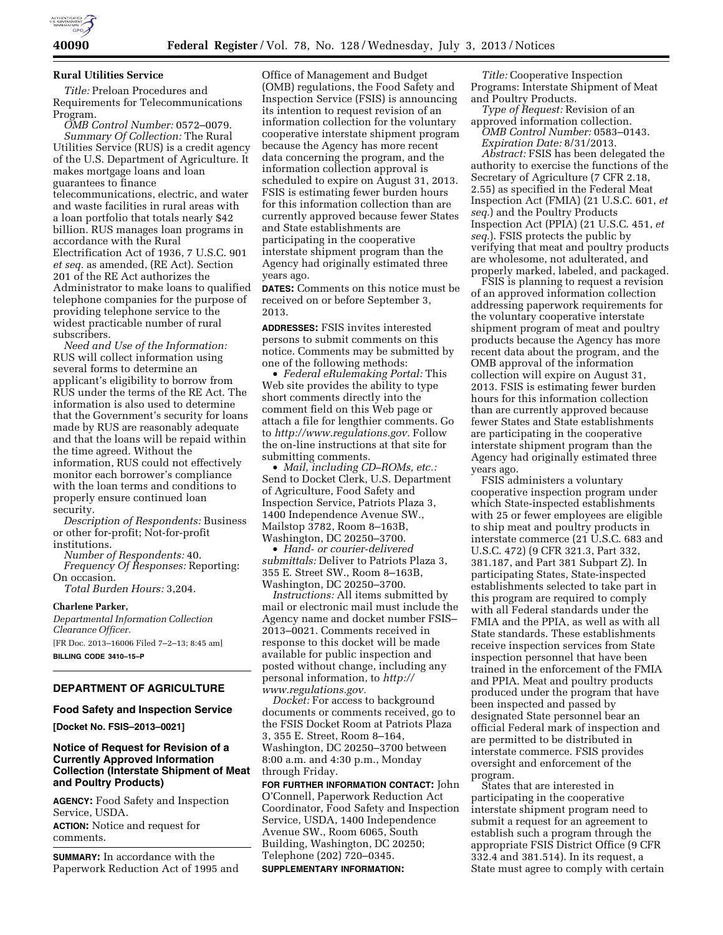

### **Rural Utilities Service**

*Title:* Preloan Procedures and Requirements for Telecommunications Program.

*OMB Control Number:* 0572–0079. *Summary Of Collection:* The Rural Utilities Service (RUS) is a credit agency of the U.S. Department of Agriculture. It makes mortgage loans and loan guarantees to finance telecommunications, electric, and water and waste facilities in rural areas with a loan portfolio that totals nearly \$42 billion. RUS manages loan programs in accordance with the Rural Electrification Act of 1936, 7 U.S.C. 901 *et seq.* as amended, (RE Act). Section 201 of the RE Act authorizes the Administrator to make loans to qualified telephone companies for the purpose of providing telephone service to the widest practicable number of rural subscribers.

*Need and Use of the Information:*  RUS will collect information using several forms to determine an applicant's eligibility to borrow from RUS under the terms of the RE Act. The information is also used to determine that the Government's security for loans made by RUS are reasonably adequate and that the loans will be repaid within the time agreed. Without the information, RUS could not effectively monitor each borrower's compliance with the loan terms and conditions to properly ensure continued loan security.

*Description of Respondents:* Business or other for-profit; Not-for-profit institutions.

*Number of Respondents:* 40. *Frequency Of Responses:* Reporting: On occasion.

*Total Burden Hours:* 3,204.

**Charlene Parker,**  *Departmental Information Collection Clearance Officer.*  [FR Doc. 2013–16006 Filed 7–2–13; 8:45 am]

**BILLING CODE 3410–15–P** 

## **DEPARTMENT OF AGRICULTURE**

#### **Food Safety and Inspection Service**

**[Docket No. FSIS–2013–0021]** 

## **Notice of Request for Revision of a Currently Approved Information Collection (Interstate Shipment of Meat and Poultry Products)**

**AGENCY:** Food Safety and Inspection Service, USDA.

**ACTION:** Notice and request for comments.

**SUMMARY:** In accordance with the Paperwork Reduction Act of 1995 and

Office of Management and Budget (OMB) regulations, the Food Safety and Inspection Service (FSIS) is announcing its intention to request revision of an information collection for the voluntary cooperative interstate shipment program because the Agency has more recent data concerning the program, and the information collection approval is scheduled to expire on August 31, 2013. FSIS is estimating fewer burden hours for this information collection than are currently approved because fewer States and State establishments are participating in the cooperative interstate shipment program than the Agency had originally estimated three years ago.

**DATES:** Comments on this notice must be received on or before September 3, 2013.

**ADDRESSES:** FSIS invites interested persons to submit comments on this notice. Comments may be submitted by one of the following methods:

• *Federal eRulemaking Portal:* This Web site provides the ability to type short comments directly into the comment field on this Web page or attach a file for lengthier comments. Go to *[http://www.regulations.gov.](http://www.regulations.gov)* Follow the on-line instructions at that site for submitting comments.

• *Mail, including CD–ROMs, etc.:*  Send to Docket Clerk, U.S. Department of Agriculture, Food Safety and Inspection Service, Patriots Plaza 3, 1400 Independence Avenue SW., Mailstop 3782, Room 8–163B, Washington, DC 20250–3700.

• *Hand- or courier-delivered submittals:* Deliver to Patriots Plaza 3, 355 E. Street SW., Room 8–163B, Washington, DC 20250–3700.

*Instructions:* All items submitted by mail or electronic mail must include the Agency name and docket number FSIS– 2013–0021. Comments received in response to this docket will be made available for public inspection and posted without change, including any personal information, to *[http://](http://www.regulations.gov)  [www.regulations.gov.](http://www.regulations.gov)* 

*Docket:* For access to background documents or comments received, go to the FSIS Docket Room at Patriots Plaza 3, 355 E. Street, Room 8–164, Washington, DC 20250–3700 between 8:00 a.m. and 4:30 p.m., Monday through Friday.

**FOR FURTHER INFORMATION CONTACT:** John O'Connell, Paperwork Reduction Act Coordinator, Food Safety and Inspection Service, USDA, 1400 Independence Avenue SW., Room 6065, South Building, Washington, DC 20250; Telephone (202) 720–0345. **SUPPLEMENTARY INFORMATION:** 

*Title:* Cooperative Inspection Programs: Interstate Shipment of Meat and Poultry Products.

*Type of Request:* Revision of an approved information collection.

*OMB Control Number:* 0583–0143. *Expiration Date:* 8/31/2013.

*Abstract:* FSIS has been delegated the authority to exercise the functions of the Secretary of Agriculture (7 CFR 2.18, 2.55) as specified in the Federal Meat Inspection Act (FMIA) (21 U.S.C. 601, *et seq.*) and the Poultry Products Inspection Act (PPIA) (21 U.S.C. 451, *et seq.*). FSIS protects the public by verifying that meat and poultry products are wholesome, not adulterated, and properly marked, labeled, and packaged.

FSIS is planning to request a revision of an approved information collection addressing paperwork requirements for the voluntary cooperative interstate shipment program of meat and poultry products because the Agency has more recent data about the program, and the OMB approval of the information collection will expire on August 31, 2013. FSIS is estimating fewer burden hours for this information collection than are currently approved because fewer States and State establishments are participating in the cooperative interstate shipment program than the Agency had originally estimated three years ago.

FSIS administers a voluntary cooperative inspection program under which State-inspected establishments with 25 or fewer employees are eligible to ship meat and poultry products in interstate commerce (21 U.S.C. 683 and U.S.C. 472) (9 CFR 321.3, Part 332, 381.187, and Part 381 Subpart Z). In participating States, State-inspected establishments selected to take part in this program are required to comply with all Federal standards under the FMIA and the PPIA, as well as with all State standards. These establishments receive inspection services from State inspection personnel that have been trained in the enforcement of the FMIA and PPIA. Meat and poultry products produced under the program that have been inspected and passed by designated State personnel bear an official Federal mark of inspection and are permitted to be distributed in interstate commerce. FSIS provides oversight and enforcement of the program.

States that are interested in participating in the cooperative interstate shipment program need to submit a request for an agreement to establish such a program through the appropriate FSIS District Office (9 CFR 332.4 and 381.514). In its request, a State must agree to comply with certain